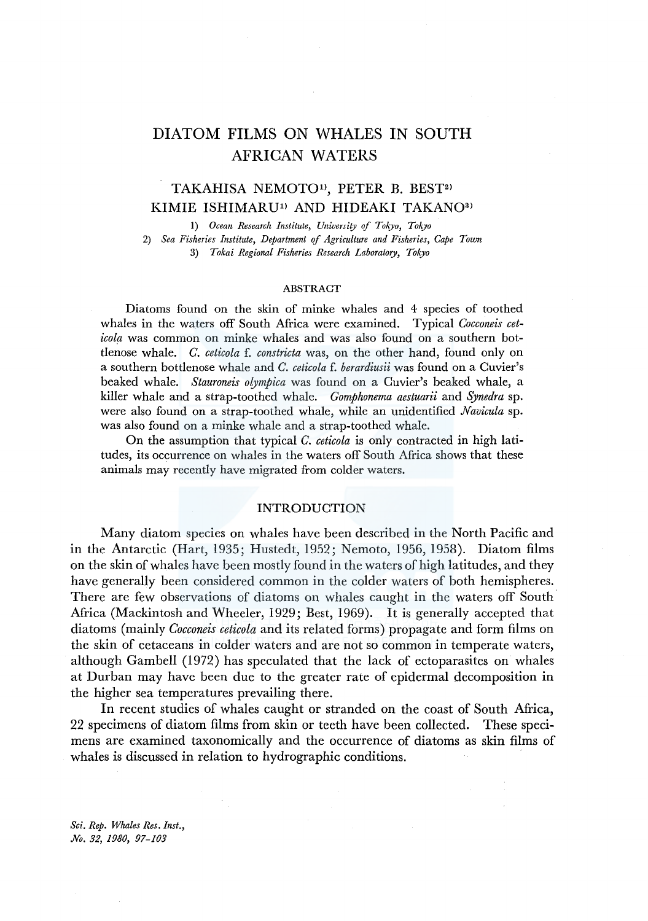# DIATOM FILMS ON WHALES IN SOUTH AFRICAN WATERS

## TAKAHISA NEMOTO<sup>1)</sup>, PETER B. BEST<sup>2)</sup> KIMIE ISHIMARU<sup>1)</sup> AND HIDEAKI TAKANO<sup>3)</sup>

I) *Ocean Research Institute, University of Tokyo, Tokyo*  2) *Sea Fisheries Institute, Department* ef *Agriculture and Fisheries, Cape Town* 

3) *Tokai Regional Fisheries Research Laboratory, Tokyo* 

#### ABSTRACT

Diatoms found on the skin of minke whales and 4 species of toothed whales in the waters off South Africa were examined. Typical *Cocconeis ceticola* was common on minke whales and was also found on a southern bottlenose whale. *C. ceticola* f. *constricta* was, on the other hand, found only on a southern bottlenose whale and *C. ceticola* f. *berardiusii* was found on a Cuvier's beaked whale. *Stauroneis olympica* was found on a Cuvier's beaked whale, a killer whale and a strap-toothed whale. *Gomphonema aestuarii* and *Synedra* sp. were also found on a strap-toothed whale, while an unidentified *Navicula* sp. was also found on a minke whale and a strap-toothed whale.

On the assumption that typical *C. ceticola* is only contracted in high latitudes, its occurrence on whales in the waters off South Africa shows that these animals may recently have migrated from colder waters.

## INTRODUCTION

Many diatom species on whales have been described in the North Pacific and in the Antarctic (Hart, 1935; Hustedt, 1952; Nemoto, 1956, 1958). Diatom films on the skin of whales have been mostly found in the waters of high latitudes, and they have generally been considered common in the colder waters of both hemispheres. There are few observations of diatoms on whales caught in the waters off South. Africa (Mackintosh and Wheeler, 1929; Best, 1969). It is generally accepted that diatoms (mainly *Cocconeis ceticola* and its related forms) propagate and form films on the skin of cetaceans in colder waters and are not so common in temperate waters, although Gambell (1972) has speculated that the lack of ectoparasites on whales at Durban may have been due to the greater rate of epidermal decomposition in the higher sea temperatures prevailing there.

In recent studies of whales caught or stranded on the coast of South Africa, 22 specimens of diatom films from skin or teeth have been collected. These specimens are examined taxonomically and the occurrence of diatoms as skin films of whales is discussed in relation to hydrographic conditions.

*Sci. Rep. Whales Res. Inst., No. 32, 1980, 97-103*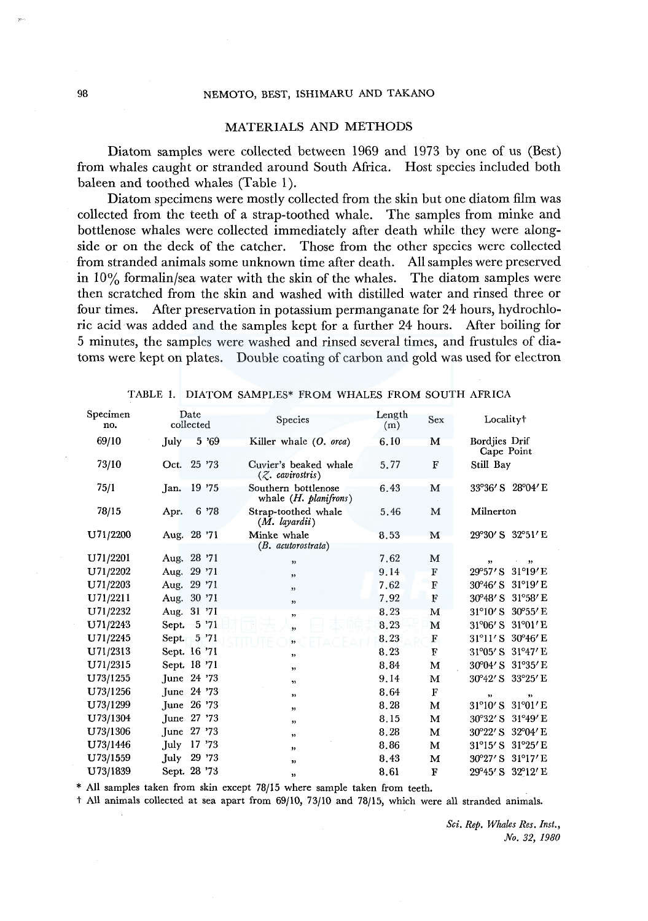#### 98 NEMOTO, BEST, ISHIMARU AND TAKANO

#### MATERIALS AND METHODS

Diatom samples were collected between 1969 and 1973 by one of us (Best) from whales caught or stranded around South Africa. Host species included both baleen and toothed whales (Table 1).

Diatom specimens were mostly collected from the skin but one diatom film was collected from the teeth of a strap-toothed whale. The samples from minke and bottlenose whales were collected immediately after death while they were alongside or on the deck of the catcher. Those from the other species were collected from stranded animals some unknown time after death. All samples were preserved in  $10\%$  formalin/sea water with the skin of the whales. The diatom samples were then scratched from the skin and washed with distilled water and rinsed three or four times. After preservation in potassium permanganate for 24 hours, hydrochloric acid was added and the samples kept for a further 24 hours. After boiling for 5 minutes, the samples were washed and rinsed several times, and frustules of diatoms were kept on plates. Double coating of carbon and gold was used for electron

| Specimen<br>no. | Date<br>collected |              | Species                                        | Length<br>(m) | Sex          | Localityt                             |  |
|-----------------|-------------------|--------------|------------------------------------------------|---------------|--------------|---------------------------------------|--|
| 69/10           | July              | 5 '69        | Killer whale (O. orca)                         | 6.10          | M            | Bordjies Drif<br>Cape Point           |  |
| 73/10           |                   | Oct. 25 '73  | Cuvier's beaked whale<br>$(Z.$ cavirostris)    | 5.77          | F            | Still Bay                             |  |
| 75/1            | Jan.              | 19 '75       | Southern bottlenose<br>whale $(H.$ planifrons) | 6.43          | M            | 33°36' S 28°04' E                     |  |
| 78/15           | Apr.              | 6 '78        | Strap-toothed whale<br>$(M.$ layardii)         | 5.46          | M            | Milnerton                             |  |
| U71/2200        |                   | Aug. 28 '71  | Minke whale<br>$(B.$ acutorostrata)            | 8,53          | М            | 29°30' S 32°51' E                     |  |
| U71/2201        |                   | Aug. 28 '71  | $\overline{\mathbf{v}}$                        | 7.62          | M            | ,,<br>99                              |  |
| U71/2202        |                   | Aug. 29 '71  | $\overline{\phantom{a}}$                       | 9.14          | F            | $31^{\circ}19'E$<br>$29^{\circ}57'$ S |  |
| U71/2203        |                   | Aug. 29 '71  | ,                                              | 7.62          | $\mathbf{F}$ | $31^{\circ}19'$ E<br>30°46′ S         |  |
| U71/2211        |                   | Aug. 30 '71  | ,                                              | 7.92          | F            | 30°48' S 31°58' E                     |  |
| U71/2232        |                   | Aug. 31 '71  | ,,                                             | 8.23          | M            | 31°10' S 30°55' E                     |  |
| U71/2243        |                   | Sept. 5 '71  | ,,                                             | 8.23          | M            | 31°06' S 31°01' E                     |  |
| U71/2245        | Sept.             | 5'71         | $\overline{\mathbf{v}}$                        | 8.23          | F            | 31°11'S 30°46'E                       |  |
| U71/2313        |                   | Sept. 16 '71 | ,                                              | 8.23          | F            | 31°05' S 31°47' E                     |  |
| U71/2315        |                   | Sept. 18 '71 | ,                                              | 8.84          | M            | 30°04' S 31°35' E                     |  |
| U73/1255        |                   | June 24 '73  | $\rightarrow$                                  | 9.14          | м            | 30°42' S 33°25' E                     |  |
| U73/1256        |                   | June 24 '73  | ,,                                             | 8.64          | $\mathbf F$  | ,<br>$\rightarrow$                    |  |
| U73/1299        |                   | June 26 '73  | 22                                             | 8.28          | M            | $31^{\circ}10'$ S<br>$31^{\circ}01'E$ |  |
| U73/1304        |                   | June 27 '73  | ,                                              | 8.15          | М            | $31^{\circ}49'$ E<br>30°32′ S         |  |
| U73/1306        |                   | June 27 '73  | $\pmb{\mathfrak{z}}$                           | 8.28          | М            | 30°22′ S 32°04′ E                     |  |
| U73/1446        | July              | 17 '73       | 93                                             | 8.86          | м            | 31°15' S 31°25' E                     |  |
| U73/1559        | July              | 29 '73       | ,,                                             | 8.43          | м            | 30°27' S 31°17' E                     |  |
| U73/1839        |                   | Sept. 28 '73 | $\mathbf{v}$                                   | 8.61          | F            | 29°45' S 32°12' E                     |  |

TABLE 1. DIATOM SAMPLES\* FROM WHALES FROM SOUTH AFRICA

\* All samples taken from skin except 78/15 where sample taken from teeth.

t All animals collected at sea apart from 69/10, 73/10 and 78/15, which were all stranded animals.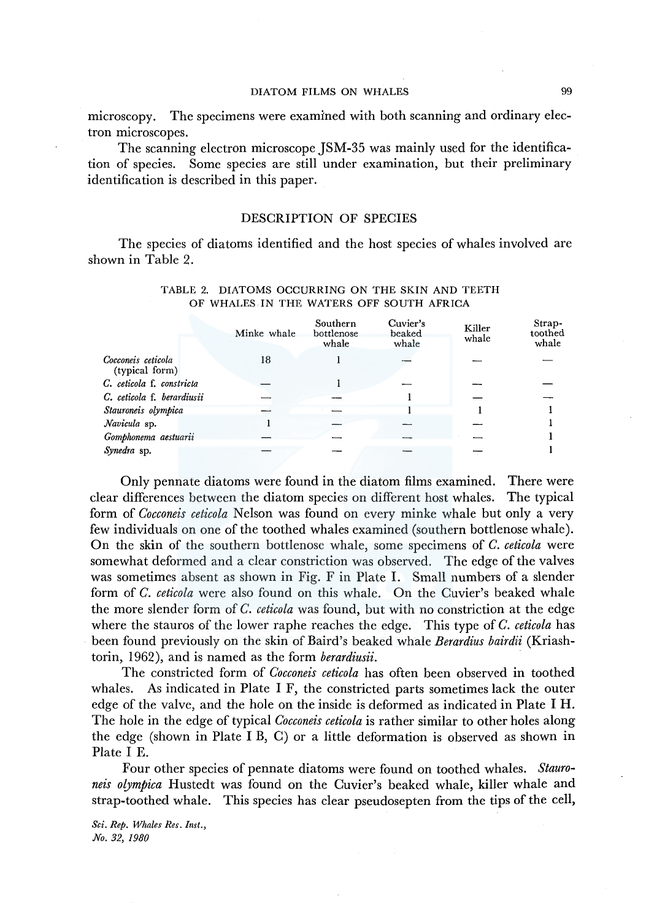#### DIATOM FILMS ON WHALES 99

microscopy. The specimens were examined with both scanning and ordinary electron microscopes.

The scanning electron microscope JSM-35 was mainly used for the identification of species. Some species are still under examination, but their preliminary identification is described in this paper.

## DESCRIPTION OF SPECIES

The species of diatoms identified and the host species of whales involved are shown in Table 2.

|                                      | Minke whale | Southern<br>bottlenose<br>whale | Cuvier's<br>beaked<br>whale | Killer<br>whale | Strap-<br>toothed<br>whale |
|--------------------------------------|-------------|---------------------------------|-----------------------------|-----------------|----------------------------|
| Cocconeis ceticola<br>(typical form) | 18          |                                 |                             |                 |                            |
| C. ceticola f. constricta            |             |                                 |                             |                 |                            |
| C. ceticola f. berardiusii           |             |                                 |                             |                 |                            |
| Stauroneis olympica                  |             |                                 |                             |                 |                            |
| Navicula sp.                         |             |                                 |                             |                 |                            |
| Gomphonema aestuarii                 |             |                                 |                             |                 |                            |
| Synedra sp.                          |             |                                 |                             |                 |                            |

#### TABLE 2. DIATOMS OCCURRING ON THE SKIN AND TEETH OF WHALES IN THE WATERS OFF SOUTH AFRICA

Only pennate diatoms were found in the diatom films examined. There were clear differences between the diatom species on different host whales. The typical form of *Cocconeis ceticola* Nelson was found on every minke whale but only a very few individuals on one of the toothed whales examined (southern bottlenose whale). On the skin of the southern bottlenose whale, some specimens of *C. ceticola* were somewhat deformed and a clear constriction was observed. The edge of the valves was sometimes absent as shown in Fig. F in Plate I. Small numbers of a slender form of *C. ceticola* were also found on this whale. On the Cuvier's beaked whale the more slender form of *C. ceticola* was found, but with no constriction at the edge where the stauros of the lower raphe reaches the edge. This type of *C. ceticola* has been found previously on the skin of Baird's beaked whale *Berardius bairdii* (Kriashtorin, 1962), and is named as the form *berardiusii.* 

The constricted form of *Cocconeis ceticola* has often been observed in toothed whales. As indicated in Plate I F, the constricted parts sometimes lack the outer edge of the valve, and the hole on the inside is deformed as indicated in Plate I H. The hole in the edge of typical *Cocconeis ceticola* is rather similar to other holes along the edge (shown in Plate I B, C) or a little deformation is observed as shown in Plate I E.

Four other species of pennate diatoms were found on toothed whales. *Stauroneis olympica* Hustedt was found on the Cuvier's beaked whale, killer whale and strap-toothed whale. This species has clear pseudosepten from the tips of the cell,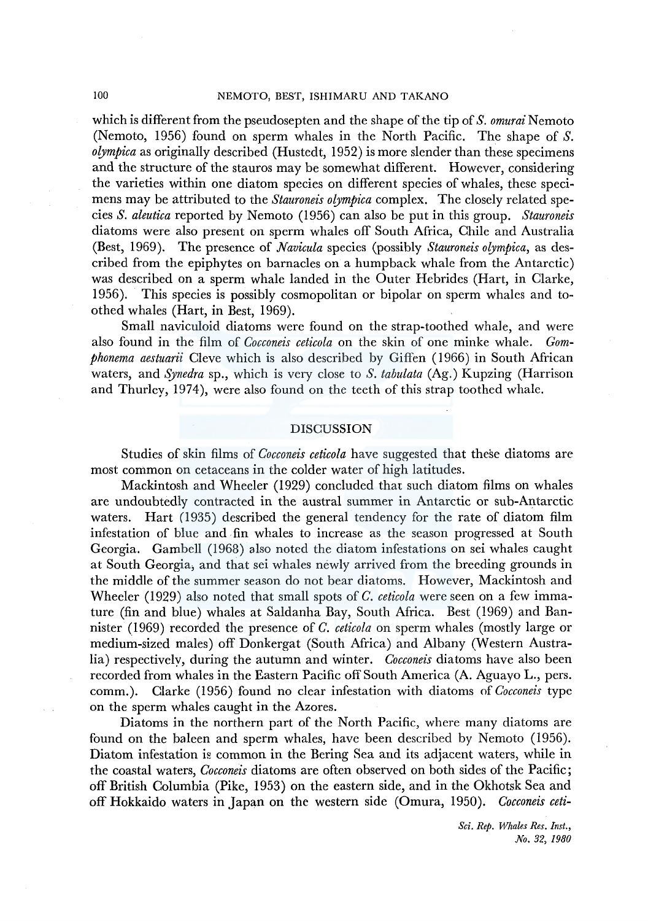which is different from the pseudosepten and the shape of the tip of *S. omurai* Nemoto (Nemoto, 1956) found on sperm whales in the North Pacific. The shape of *S. olympica* as originally described (Hustedt, 1952) is more slender than these specimens and the structure of the stauros may be somewhat different. However, considering the varieties within one diatom species on different species of whales, these specimens may be attributed to the *Stauroneis olympica* complex. The closely related species *S. aleutica* reported by Nemoto (1956) can also be put in this group. *Stauroneis*  diatoms were also present on sperm whales off South Africa, Chile and Australia (Best, 1969). The presence of *Navicula* species (possibly *Stauroneis olympica,* as described from the epiphytes on barnacles on a humpback whale from the Antarctic) was described on a sperm whale landed in the Outer Hebrides (Hart, in Clarke, 1956). This species is possibly cosmopolitan or bipolar on sperm whales and toothed whales (Hart, in Best, 1969).

Small naviculoid diatoms were found on the strap-toothed whale, and were also found in the film of *Cocconeis ceticola* on the skin of one minke whale. *Gomphonema aestuarii* Cleve which is also described by Giffen ( 1966) in South African waters, and *Synedra* sp., which is very close to S. *tabulata* (Ag.) Kupzing (Harrison and Thurley, 1974), were also found on the teeth of this strap toothed whale.

#### DISCUSSION

Studies of skin films of *Cocconeis ceticola* have suggested that these diatoms are most common on cetaceans in the colder water of high latitudes.

Mackintosh and Wheeler (1929) concluded that such diatom films on whales are undoubtedly contracted in the austral summer in Antarctic or sub-Antarctic waters. Hart (1935) described the general tendency for the rate of diatom film infestation of blue and fin whales to increase as the season progressed at South Georgia. Gambell (1968) also noted the diatom infestations on sei whales caught at South Georgia; and that sei whales newly arrived from the breeding grounds in the middle of the summer season do not bear diatoms. However, Mackintosh and Wheeler (1929) also noted that small spots of *C. ceticola* were seen on a few immature (fin and blue) whales at Saldanha Bay, South Africa. Best (1969) and Bannister (1969) recorded the presence of *C. ceticola* on sperm whales (mostly large or medium-sized males) off Donkergat (South Africa) and Albany (Western Australia) respectively, during the autumn and winter. *Cocconeis* diatoms have also been recorded from whales in the Eastern Pacific off South America (A. Aguayo L., pers. comm.). Clarke (1956) found no clear infestation with diatoms of *Cocconeis* type on the sperm whales caught in the Azores.

Diatoms in the northern part of the North Pacific, where many diatoms are found on the baleen and sperm whales, have been described by Nemoto (1956). Diatom infestation is common in the Bering Sea and its adjacent waters, while in the coastal waters, *Cocconeis* diatoms are often observed on both sides of the Pacific; off British Columbia (Pike, 1953) on the eastern side, and in the Okhotsk Sea and off Hokkaido waters in Japan on the western side (Omura, 1950). *Cocconeis ceti-*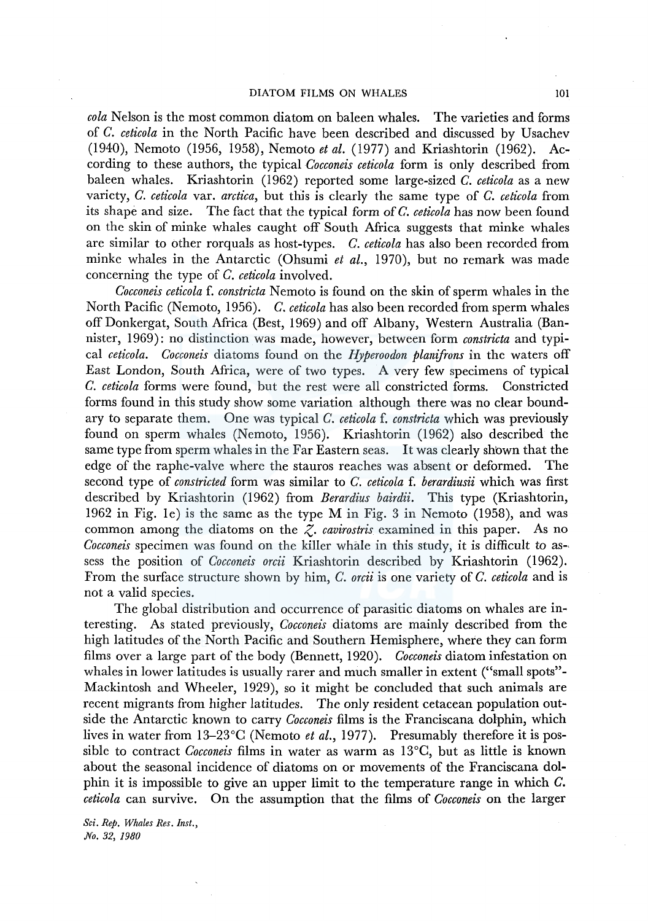### DIATOM FILMS ON WHALES 101

*cola* Nelson is the most common diatom on baleen whales. The varieties and forms of *C. ceticola* in the North Pacific have been described and discussed by Usachev (1940), Nemoto (1956, 1958), Nemoto *et al.* (1977) and Kriashtorin (1962). According to these authors, the typical *Cocconeis ceticola* form is only described from baleen whales. Kriashtorin (1962) reported some large-sized *C. ceticola* as a new variety, *C. ceticola* var. *arctica,* but this is clearly the same type of *C. ceticola* from its shape and size. The fact that the typical form of *C. ceticola* has now been found on the skin of minke whales caught off South Africa suggests that minke whales are similar to other rorquals as host-types. *C. ceticola* has also been recorded from minke whales in the Antarctic (Ohsumi *et al.,* 1970), but no remark was made concerning the type of *C. ceticola* involved.

*Cocconeis ceticola* f. *constricta* Nemoto is found on the skin of sperm whales in the North Pacific (Nemoto, 1956). *C. ceticola* has also been recorded from sperm whales off Donkergat, South Africa (Best, 1969) and off Albany, Western Australia (Bannister, 1969) : no distinction was made, however, between form *constricta* and typical *ceticola. Cocconeis* diatoms found on the *Hyperoodon planifrons* in the waters off East London, South Africa, were of two types. A very few specimens of typical *C. ceticola* forms were found, but the rest were all constricted forms. Constricted forms found in this study show some variation although there was no clear boundary to separate them. One was typical *C. ceticola* f. *constricta* which was previously found on sperm whales (Nemoto, 1956). Kriashtorin (1962) also described the same type from sperm whales in the Far Eastern seas. It was clearly shown that the edge of the raphe-valve where the stauros reaches was absent or deformed. The second type of *constricted* form was similar to *C. ceticola* f. *berardiusii* which was first described by Kriashtorin (1962) from *Berardius bairdii.* This type (Kriashtorin, 1962 in Fig. le) is the same as the type M in Fig. 3 in Nemoto (1958), and was common among the diatoms on the *Z. cavirostris* examined in this paper. As no *Cocconeis* specimen was found on the killer whale in this study, it is difficult to as-, sess the position of *Cocconeis orcii* Kriashtorin described by Kriashtorin (1962). From the surface structure shown by him, *C. orcii* is one variety of *C. ceticola* and is not a valid species.

The global distribution and occurrence of parasitic diatoms on whales are interesting. As stated previously, *Cocconeis* diatoms are mainly described from the high latitudes of the North Pacific and Southern Hemisphere, where they can form films over a large part of the body (Bennett, 1920). *Cocconeis* diatom infestation on whales in lower latitudes is usually rarer and much smaller in extent ("small spots"- Mackintosh and Wheeler, 1929), so it might be concluded that such animals are recent migrants from higher latitudes. The only resident cetacean population outside the Antarctic known to carry *Cocconeis* films is the Franciscana dolphin, which lives in water from 13-23°C (Nemoto *et al.,* 1977). Presumably therefore it is possible to contract *Cocconeis* films in water as warm as 13°C, but as little is known about the seasonal incidence of diatoms on or movements of the Franciscana dolphin it is impossible to give an upper limit to the temperature range in which C. *ceticola* can survive. On the assumption that the films of *Cocconeis* on the larger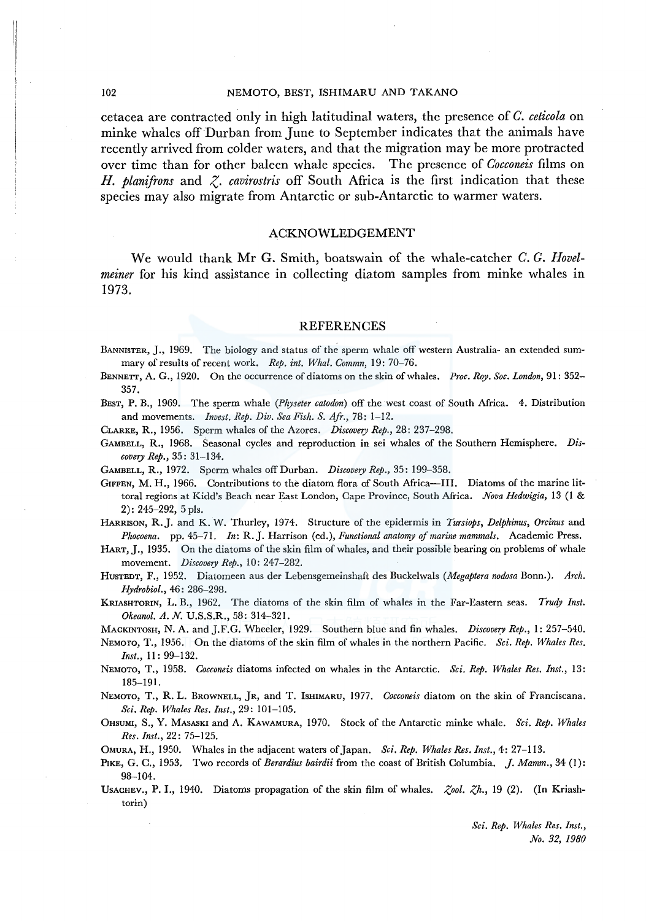#### 102 NEMOTO, BEST, ISHIMARU AND TAKANO

cetacea are contracted only in high latitudinal waters, the presence of *C. ceticola* on minke whales off Durban from June to September indicates that the animals have recently arrived from colder waters, and that the migration may be more protracted over time than for other baleen whale species. The presence of *Cocconeis* films on *H. planifrons* and *z. cavirostris* off South Africa is the first indication that these species may also migrate from Antarctic or sub-Antarctic to warmer waters.

#### ACKNOWLEDGEMENT

We would thank Mr G. Smith, boatswain of the whale-catcher *C. G. Hovelmeiner* for his kind assistance in collecting diatom samples from minke whales in 1973.

#### REFERENCES

- BANNISTER, J., 1969. The biology and status of the sperm whale off western Australia- an extended summary of results of recent work. *Rep. int. Whal. Commn,* 19: 70-76.
- BENNETT, A. G., 1920. On the occurrence of diatoms on the skin of whales. *Proc. Roy. Soc. London,* 91: 352- 357.
- BEST, P. B., 1969. The sperm whale *(Physeter catodon)* off the west coast of South Africa. 4. Distribution and movements. *Invest. Rep. Div. Sea Fish. S. Afr.,* 78: 1-12.

CLARKE, R., 1956. Sperm whales of the Azores. *Discovery Rep.,* 28: 237-298.

GAMBELL, R., 1968. Seasonal cycles and reproduction in sei whales of the Southern Hemisphere. *Discovery Rep.,* 35: 31-134.

GAMBELL, R., 1972. Sperm whales off Durban. *Discovery Rep.,* 35: 199-358.

GIFFEN, M. H., 1966. Contributions to the diatom flora of South Africa-III. Diatoms of the marine littoral regions at Kidd's Beach near East London, Cape Province, South Africa. *Nova Hedwigia,* 13 (I & 2): 245-292, 5 pls.

HARRISON, R.J. and K. W. Thurley, 1974. Structure of the epidermis in *Tursiops, Delphinus, Orcinus* and *Phocoena.* pp. 45-71. *In: R.].* Harrison (ed.), *Functional anatomy efmarine mammals.* Academic Press.

HART, J., 1935. On the diatoms of the skin film of whales, and their possible bearing on problems of whale movement. *Discovery Rep.,* 10: 247-282.

HusTEDT, F., 1952. Diatomeen aus der Lebensgemeinshaft des Buckelwals *(Megaptera nodosa* Bonn.). *Arch. Hydrobiol.,* 46: 286-298.

KRIASHTORIN, L.B., 1962. The diatoms of the skin film of whales in the Far-Eastern seas. Trudy Inst. *Okeanol. A. N.* U.S.S.R., 58: 314-321.

MACKINTOSH, N. A. and J.F.G. Wheeler, 1929. Southern blue and fin whales. *Discovery Rep.,* 1: 257-540.

NEMoro, T., 1956. On the diatoms of the skin film of whales in the northern Pacific. *Sci. Rep. Whales Res. Inst.,* II: 99-132.

NEMOTO, T., 1958. *Cocconeis* diatoms infected on whales in the Antarctic. *Sci. Rep. Whales Res. Inst.,* 13: 185-191.

NEMOTO, T., R. L. BROWNELL, *]R,* and T. lsHIMARU, 1977. *Cocconeis* diatom on the skin of Franciscana. *Sci. Rep. Whales Res. Inst.,* 29: 101-105.

0HSUMI, S., Y. MASASKI and A. KAWAMURA, 1970. Stock of the Antarctic minke whale. *Sci. Rep. Whales Res. Inst.,* 22: 75-125.

OMURA, H., 1950. Whales in the adjacent waters of Japan. *Sci. Rep. Whales Res. Inst.,* 4: 27-113.

PIKE, G. C., 1953. Two records of *Berardius bairdii* from the coast of British Columbia. *j. Mamm.,* 34 (!): 98-104.

UsACHEV., P. I., 1940. Diatoms propagation of the skin film of whales. *Z,ool. Z,h.,* 19 (2). (In Kriashtorin)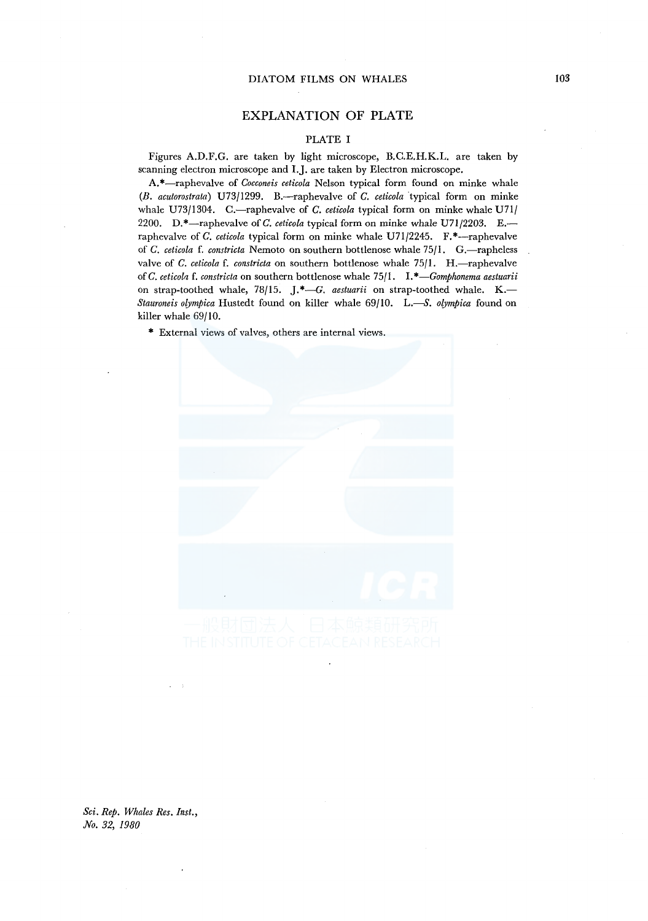## EXPLANATION OF PLATE

#### PLATE I

Figures A.D.F.G. are taken by light microscope, B.C.E.H.K.L. are taken by scanning electron microscope and l.J. are taken by Electron microscope.

A.\*-raphevalve of *Cocconeis ceticola* Nelson typical form found on minke whale *(B. acutorostrata)* U73/1299. B.-raphevalve of *C. ceticola* ·typical form on minke whale U73/1304. C.—raphevalve of *C. ceticola* typical form on minke whale U71/ 2200. D.\*-raphevalve of *C. ceticola* typical form on minke whale U71/2203. E. raphevalve of *C. ceticola* typical form on minke whale U71/2245. F.\*--raphevalve of *C. ceticola* f. *constricta* Nemoto on southern bottlenose whale 75/1. G.-rapheless valve of *C. ceticola* f. *constricta* on southern bottlenose whale 75/1. H.-raphevalve of *C. ceticola* f. *constricta* on southern bottlenose whale 75/1. *I.\*-Gomphonema aestuarii*  on strap-toothed whale, 78/15. J.\*-G. aestuarii on strap-toothed whale. K.-*Stauroneis olympica* Hustedt found on killer whale 69/10. L.-S. *olympica* found on killer whale 69/10.

\* External views of valves, others are internal views.